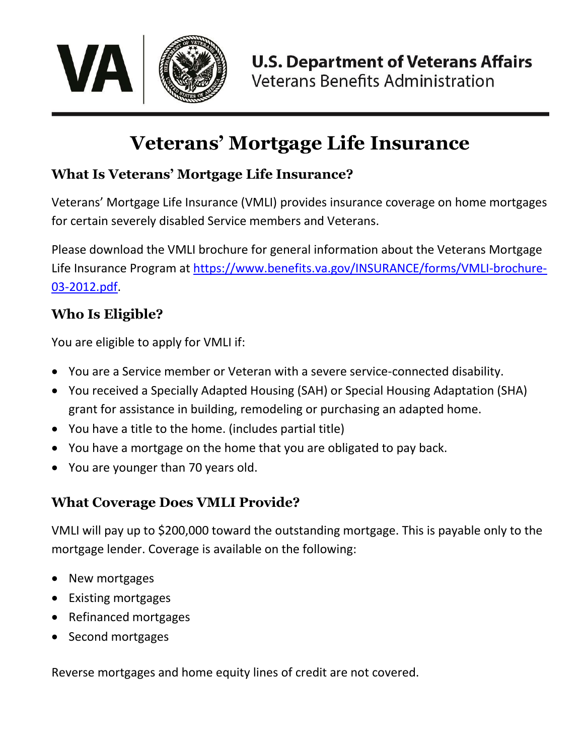

# **Veterans' Mortgage Life Insurance**

## **What Is Veterans' Mortgage Life Insurance?**

Veterans' Mortgage Life Insurance (VMLI) provides insurance coverage on home mortgages for certain severely disabled Service members and Veterans.

Please download the VMLI brochure for general information about the Veterans Mortgage Life Insurance Program at [https://www.benefits.va.gov/INSURANCE/forms/VMLI-brochure-](https://www.benefits.va.gov/INSURANCE/forms/VMLI-brochure-03-2012.pdf)[03-2012.pdf.](https://www.benefits.va.gov/INSURANCE/forms/VMLI-brochure-03-2012.pdf)

## **Who Is Eligible?**

You are eligible to apply for VMLI if:

- You are a Service member or Veteran with a severe service-connected disability.
- You received a Specially Adapted Housing (SAH) or Special Housing Adaptation (SHA) grant for assistance in building, remodeling or purchasing an adapted home.
- You have a title to the home. (includes partial title)
- You have a mortgage on the home that you are obligated to pay back.
- You are younger than 70 years old.

# **What Coverage Does VMLI Provide?**

VMLI will pay up to \$200,000 toward the outstanding mortgage. This is payable only to the mortgage lender. Coverage is available on the following:

- New mortgages
- Existing mortgages
- Refinanced mortgages
- Second mortgages

Reverse mortgages and home equity lines of credit are not covered.